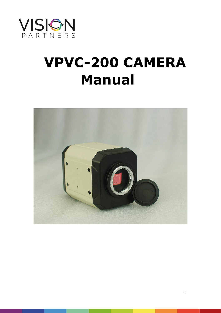

## **VPVC-200 CAMERA Manual**



1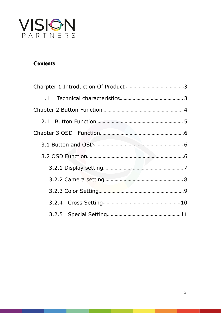

## **Contents**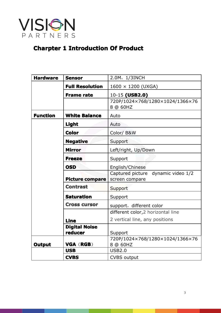<span id="page-2-0"></span>

## **Charpter 1 Introduction Of Production**

<span id="page-2-1"></span>

| <b>Hardware</b> | <b>Sensor</b>                   | 2.0M, 1/3INCH                                           |
|-----------------|---------------------------------|---------------------------------------------------------|
|                 | <b>Full Resolution</b>          | $1600 \times 1200$ (UXGA)                               |
|                 | <b>Frame rate</b>               | 10-15 (USB2.0)                                          |
|                 |                                 | 720P/1024×768/1280×1024/1366×76<br>8 @ 60HZ             |
| <b>Function</b> | <b>White Balance</b>            | Auto                                                    |
|                 | Light                           | Auto                                                    |
|                 | <b>Color</b>                    | Color/B&W                                               |
|                 | <b>Negative</b>                 | Support                                                 |
|                 | <b>Mirror</b>                   | Left/right, Up/Down                                     |
|                 | <b>Freeze</b>                   | Support                                                 |
|                 | <b>OSD</b>                      | English/Chinese                                         |
|                 | <b>Picture compare</b>          | Captured picture<br>dynamic video 1/2<br>screen compare |
|                 | <b>Contrast</b>                 | Support                                                 |
|                 | <b>Saturation</b>               | Support                                                 |
|                 | <b>Cross cursor</b>             | support, different color                                |
|                 |                                 | different color, 2 horizontal line                      |
|                 | <b>Line</b>                     | 2 vertical line, any positions                          |
|                 | <b>Digital Noise</b><br>reducer | Support                                                 |
| <b>Output</b>   | <b>VGA (RGB)</b>                | 720P/1024×768/1280×1024/1366×76<br>8 @ 60HZ             |
|                 | <b>USB</b>                      | <b>USB2.0</b>                                           |
|                 | <b>CVBS</b>                     | <b>CVBS output</b>                                      |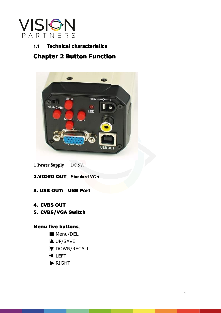<span id="page-3-0"></span>

### **1.1 Technical characteristics**



# 1 **Power Supply** : DC 5V.<br> **2.VIDEO OUT**: Stands<br> **3. USB OUT: USB P 2.VIDEO OUT:** Standard VGA.<br>**3. USB OUT:** USB Port<br>**4. CVBS OUT**

**4. CVBS OUT: USB Port<br>
<b>4. CVBS OUT**<br> **5. CVBS/VGA Switch** 

**5. CVBS/VGA Switch<br><b>Menu five buttons:**<br>Menu/DEL<br>A UP/SAVE

# **4. CVBS OUT<br>5. CVBS/VG/<br><b>Menu five bu**<br>Menu five bu **Menu five buttons:<br>
Menu/DEL<br>
A UP/SAVE<br>
V DOWN/REG**

- **Menu/DEL**
- **A** UP/SAVE
- **V** DOWN/RECALL
- **ILEFT**
- RIGHT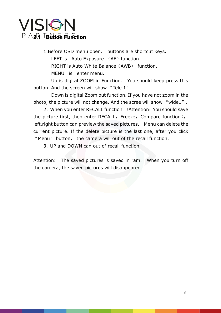<span id="page-4-0"></span>

**2.11 Button Function**<br> **1.Before OSD menu open, buttons are shortcut keys...**<br> **LEFT is Auto Exposure** (AE) function.<br>
RIGHT is Auto White Balance (AWB) function.<br>
MENU is enter menu. 1.Before OSD menu open, buttons are shortcut keys.<br>LEFT is Auto Exposure (AE) function.<br>RIGHT is Auto White Balance (AWB) function.<br>MENU is enter menu.<br>Up is digital ZOOM in Function. You should keep r LEFT is Auto Exposure (AE) function.<br>RIGHT is Auto White Balance (AWB) fi<br>MENU is enter menu.<br>Up is digital ZOOM in Function. You s<br>button. And the screen will show "Tele 1" MENU is enter menu.<br>Up is digital ZOOM in F<br>button. And the screen will show<br>Down is digital Zoom ou<br>photo, the picture will not change

Up is digital ZOOM in Function. You should keep press this<br>button. And the screen will show "Tele 1"<br>Down is digital Zoom out function. If you have not zoom in the

Up is digital ZOOM in Function. You should keep press this<br>button. And the screen will show "Tele 1"<br>Down is digital Zoom out function. If you have not zoom in the<br>photo, the picture will not change. And the scree will sho button. And the screen will show "Tele 1"<br>Down is digital Zoom out function.<br>photo, the picture will not change. And the<br>2. When you enter RECALL function<br>the picture first, then enter RECALL, Free

Down is digital Zoom out function. If you have not zoom in the<br>photo, the picture will not change. And the scree will show "wide1".<br>2. When you enter RECALL function (Attention: You should save<br>the picture first, then ente photo, the picture will not change. And the scree will show "wide1".<br>
2. When you enter RECALL function (Attention: You should save<br>
the picture first, then enter RECALL, Freeze, Compare function),<br>
left,right button can p 2. When you enter RECALL function (Attention: You should save<br>the picture first, then enter RECALL, Freeze, Compare function),<br>left,right button can preview the saved pictures. Menu can delete the<br>current picture. If the d left,right button can preview the saved pictures. Menu can delete the current picture. If the delete picture is the last one, after you click<br>
"Menu" button, the camera will out of the recall function.<br>
3. UP and DOWN can out of recall function.<br>
Attention: The saved pictures is saved in ram

3. UP and DOWN can out of recall function.<br>Attention: The saved pictures is saved in ram<br>the camera, the saved pictures will disappeared Attention: The saved pictures is saved in ram. When you turn off<br>the camera, the saved pictures will disappeared. the camera, the saved pictures will disappeared.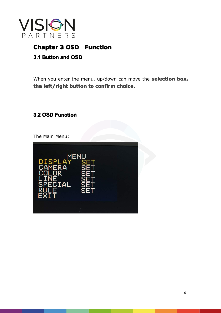

## **Chapter 3 OSD Function**<br>**3.1 Button and OSD**

<span id="page-5-0"></span>**3.1 Button and OSD**<br>When you enter the **the left/right button** When you enter the menu, up/down can move the **selection box**, the left/right button to confirm choice.<br>3.2 OSD Function

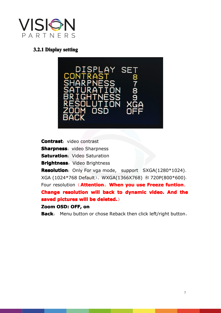

<span id="page-6-0"></span>

**Contrast**: video contrast<br>**Sharpness**: video Sharp<br>**Saturation**: Video Satur<br>**Brightness**: Video Brigh<br>**Resolution**: Only For vq

**Sharpness**: video Sharpness<br>**Saturation**: Video Saturatior<br>**Brightness**: Video Brightnes<br>**Resolution**: Only For vga mo<br>XGA (1024\*768 Default)、WX **Saturation**: Video Saturation<br>**Brightness**: Video Brightness<br>**Resolution**: Only For vga mc<br>XGA (1024\*768 Default), WX<br>Four resolution (**Attention**: **Brightness**: Video Brightness<br>**Resolution**: Only For vga mo<br>XGA (1024\*768 Default)、WX<br>Four resolution (Attention:<br>Change resolution will bad **Resolution**: Only For vga mode, support SXGA(1280\*1024)、<br>XGA (1024\*768 Default)、WXGA(1366X768) 和 720P(800\*600)。<br>Four resolution (**Attention: When you use Freeze funtion**,

XGA (1024\*768 Default)、WXGA(1366X768) 和 720P(800\*600)。<br>Four resolution (**Attention: When you use Freeze funtion,**<br>**Change resolution will back to dynamic video. And the saved pictures will be deleted.)**<br>Zoom OSD: OFF, on Four resolution (**Attention: When you use Freeze funtion**,<br>**Change resolution will back to dynamic video. And th<br><b>saved pictures will be deleted.**)<br>**Zoom OSD: OFF, on<br>Back**: Menu button or chose Reback then click left/righ **Change resolution will back to dynamic video. And the saved pictures will be deleted.)**<br>**Zoom OSD: OFF, on**<br>**Back**: Menu button or chose Reback then click left/right button. **saved pictures will be deleted.**)

**Zoom OSD: OFF, on Back**: Menu button or chose Reback then click left/right button。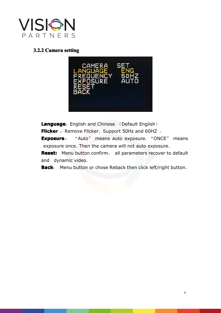

<span id="page-7-0"></span>

**Language:** English and Chinese (Default English)<br> **Flicker**: Remove Flicker. Support 50Hz and 60HZ.<br> **Exposure**: "Auto" means auto exposure. "ONCE" means<br>
exposure once. Then the camera will not auto exposure. **Exposure** : "Auto" means auto exposure. "ONCE" means exposure once. Then the camera will not auto exposure.<br> **Reset:** Menu button confirm, all parameters recover to default and dynamic video.<br> **Back**: Menu button or chose

**Reset:** Menu button confirm, all parameters recover to default and dynamic video. exposure once. Then the camera will not auto exposure.<br> **Reset:** Menu button confirm, all parameters recover to<br>
and dynamic video.<br> **Back**: Menu button or chose Reback then click left/right **Reset:** Menu button confirm, all parameters recover to default<br>and dynamic video.<br>**Back**: Menu button or chose Reback then click left/right button. and dynamic video.<br> **Back**: Menu button

**Back**: Menu button or chose Reback then click left/right button.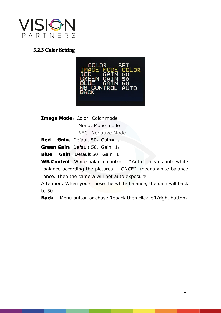

# <span id="page-8-0"></span>**3.2.3 Color Setting Setting**

| COLOR SET<br>IMAGE MODE COLOR<br>GAIN 50<br><b>RED</b><br>GREEN GAIN 50<br>BLUE<br>GAIN 50<br>WB CONTROL AUTO<br><b>BACK</b> |
|------------------------------------------------------------------------------------------------------------------------------|
|------------------------------------------------------------------------------------------------------------------------------|

**Image Mode:** Color :Color mode<br>
Mono: Mono mode<br>
NEG: Negative Mode<br> **Red Gain:** Default 50, Gain=1;<br> **Green Gain:** Default 50, Gain=1; Mono: Mono mode<br>Mono: Mono mode<br>NEG: Negative Mc<br>Gain: Default 50, Gain=1;<br>Gain: Default 50, Gain=1; NEG: Negative Mode<br>Default 50, Gain=1;<br>Default 50, Gain=1;<br>Pefault 50, Gain=1;<br>White balance control.

**Red Gain**: Default 50, Gain=1;<br> **Green Gain**: Default 50, Gain=1;<br> **Blue Gain**: Default 50, Gain=1;<br> **WB Control**: White balance contr<br>
balance according the pictures. **Green Gain**: Default 50, Gain=1;<br>**Blue Gain**: Default 50, Gain=1;<br>**WB Control**: White balance contr<br>balance according the pictures.<br>once. Then the camera will not au **Blue Gain**: Default 50, Gain=1;<br>**WB Control**: White balance control<br>balance according the pictures. "<br>once. Then the camera will not au<br>Attention: When you choose the wh **WB Control**: White balance control . "Auto" means auto white balance according the pictures. "ONCE" means white balance once. Then the camera will not auto exposure. Attention: When you choose the white balance, the gain balance according the pictures. "ONCE" means white balance<br>once. Then the camera will not auto exposure.<br>Attention: When you choose the white balance, the gain will back<br>to 50.<br>**Back**: Menu button or chose Reback then clic

once. Then the camera will not auto exposure.<br>Attention: When you choose the white balance,<br>to 50.<br>Back: Menu button or chose Reback then click Attention: When you choose the white balance, the gain will back<br>to 50.<br>**Back**: Menu button or chose Reback then click left/right button. to 50.<br>to 50.<br>Back

**Back**: Menu button or chose Reback then click left/right button。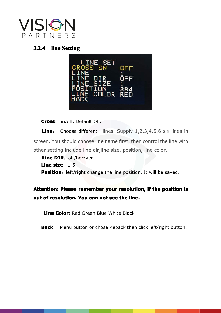

<span id="page-9-0"></span>

**Cross**: on/off. Default Off.<br> **Line**: Choose different<br>
reen. You should choose lin<br>
her setting include line dir, **Line**: Choose different lines. Supply 1,2,3,4,5,6 six lines in screen. You should choose line name first, then control the line with other setting include line dir, line size, position, line color.<br> **Line DIR**: off/hor/Ve screen. You should choose line name first, then control the line with<br>other setting include line dir, line size, position, line color.<br>**Line DIR**: off/hor/Ver<br>**Line size**: 1-5<br>**Position**: left/right change the line positio

other setting include line dir, line size, position, line color.<br> **Line DIR**: off/hor/Ver<br> **Line size**: 1-5<br> **Position**: left/right change the line position. It will be s **Line DIR:** off/hor/Ver<br> **Line size:** 1-5<br> **Position:** left/right chappenent **Line size**: 1-5<br>**Position**: left/<br>**Attention: Pleas** 

# **Position**: left/right change the line position. It will be saved.<br> **Attention: Please remember your resolution, if the positio**<br> **out of resolution. You can not see the line. Attention: Please remember your resolution, if the position is<br>out of resolution. You can not see the line.<br>Line Color:** Red Green Blue White Black **out of resolution. You can not see the line.<br>
<b>Line Color:** Red Green Blue White Black<br> **Back**: Menu button or chose Reback then

**Line Color:** Red Green Blue White Black<br>**Back**: Menu button or chose Reback the **Back**: Menu button or chose Reback then click left/right button。<br> **Back**: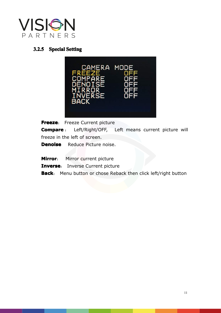<span id="page-10-0"></span>

## **3.2.5 Special Special Setting Setting**



**Freeze:** Freeze Current picture<br> **Compare**: Left/Right/OFF, L<br>
freeze in the left of screen.<br> **Denoise** Reduce Picture noise. Left/Right/OFF, Left means current picture will

Mirror: Mirror current picture

**Denoise** Reduce Picture noise.<br> **Mirror**: Mirror current picture<br> **Inverse**: Inverse Current pictu<br> **Back**: Menu button or chose Re **Mirror**: Mirror current picture<br> **Inverse**: Inverse Current picture<br> **Back**: Menu button or chose R **Inverse**: Inverse Current picture<br>**Back**: Menu button or chose Reb.

**Back**: Menu button or chose Reback then click left/right button